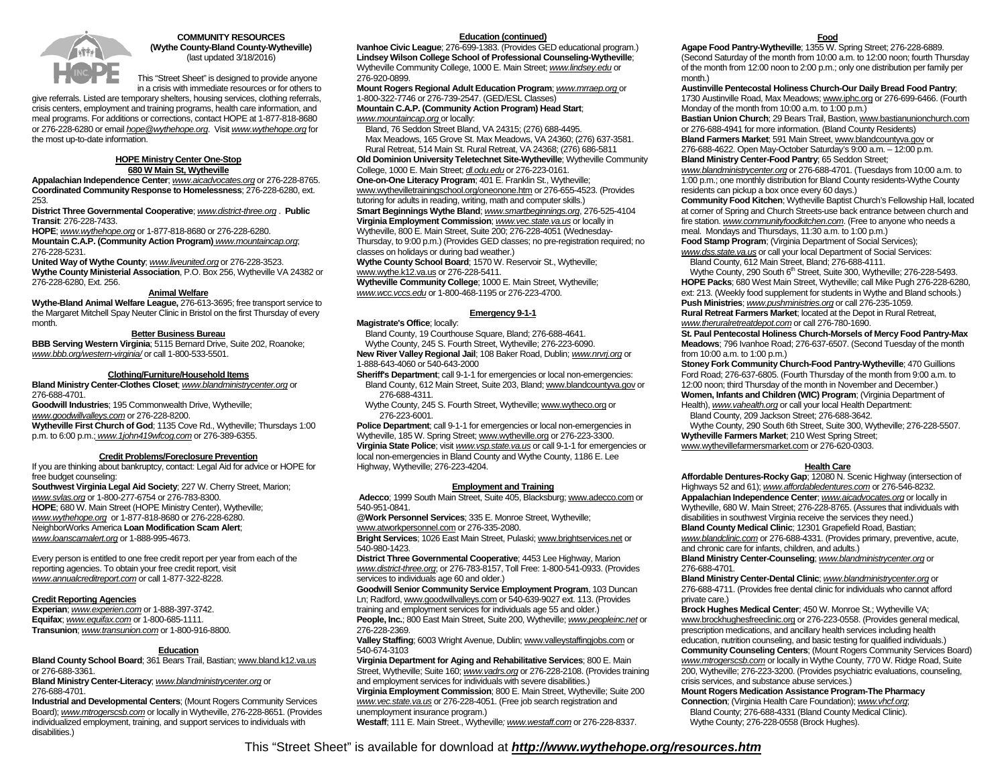

### **COMMUNITY RESOURCES (Wythe County-Bland County-Wytheville)**  (last updated 3/18/2016)

This "Street Sheet" is designed to provide anyone in a crisis with immediate resources or for others to

give referrals. Listed are temporary shelters, housing services, clothing referrals, crisis centers, employment and training programs, health care information, and meal programs. For additions or corrections, contact HOPE at 1-877-818-8680 or 276-228-6280 or email *hope@wythehope.org*. Visit *www.wythehope.org* for the most up-to-date information.

### **HOPE Ministry Center One-Stop 680 W Main St, Wytheville**

**Appalachian Independence Center**; *www.aicadvocates.org* or 276-228-8765. **Coordinated Community Response to Homelessness**; 276-228-6280, ext. 253.

**District Three Governmental Cooperative**; *www.district-three.org* . **Public Transit**: 276-228-7433.

 **HOPE**; *www.wythehope.org* or 1-877-818-8680 or 276-228-6280. **Mountain C.A.P. (Community Action Program)** *www.mountaincap.org*;

276-228-5231.

 **United Way of Wythe County**; *www.liveunited.org* or 276-228-3523. **Wythe County Ministerial Association**, P.O. Box 256, Wytheville VA 24382 or 276-228-6280, Ext. 256.

# **Animal Welfare**

 **Wythe-Bland Animal Welfare League,** 276-613-3695; free transport service to the Margaret Mitchell Spay Neuter Clinic in Bristol on the first Thursday of every month.

## **Better Business Bureau**

 **BBB Serving Western Virginia**; 5115 Bernard Drive, Suite 202, Roanoke; *www.bbb.org/western-virginia/* or call 1-800-533-5501.

# **Clothing/Furniture/Household Items**

**Bland Ministry Center-Clothes Closet**; *www.blandministrycenter.org* or 276-688-4701.

 **Goodwill Industries**; 195 Commonwealth Drive, Wytheville; *www.goodwillvalleys.com* or 276-228-8200.

**Wytheville First Church of God**; 1135 Cove Rd., Wytheville; Thursdays 1:00 p.m. to 6:00 p.m.; *www.1john419wfcog.com* or 276-389-6355.

# **Credit Problems/Foreclosure Prevention**

 If you are thinking about bankruptcy, contact: Legal Aid for advice or HOPE for free budget counseling:

**Southwest Virginia Legal Aid Society**; 227 W. Cherry Street, Marion; *www.svlas.org* or 1-800-277-6754 or 276-783-8300. **HOPE**; 680 W. Main Street (HOPE Ministry Center), Wytheville; *www.wythehope.org* or 1-877-818-8680 or 276-228-6280. NeighborWorks America **Loan Modification Scam Alert**; *www.loanscamalert.org* or 1-888-995-4673.

Every person is entitled to one free credit report per year from each of the reporting agencies. To obtain your free credit report, visit *www.annualcreditreport.com* or call 1-877-322-8228.

### **Credit Reporting Agencies**

**Experian**; *www.experien.com* or 1-888-397-3742. **Equifax**; *www.equifax.com* or 1-800-685-1111. **Transunion**; *www.transunion.com* or 1-800-916-8800.

#### **Education**

 **Bland County School Board**; 361 Bears Trail, Bastian; www.bland.k12.va.us or 276-688-3361.

 **Bland Ministry Center-Literacy**; *www.blandministrycenter.org* or 276-688-4701.

**Industrial and Developmental Centers**; (Mount Rogers Community Services Board); *www.mtrogerscsb.com* or locally in Wytheville, 276-228-8651. (Provides individualized employment, training, and support services to individuals with disabilities.)

# **Education (continued)**

**Ivanhoe Civic League**; 276-699-1383. (Provides GED educational program.) **Lindsey Wilson College School of Professional Counseling-Wytheville**; Wytheville Community College, 1000 E. Main Street; *www.lindsey.edu* or 276-920-0899.

 **Mount Rogers Regional Adult Education Program**; *www.mrraep.org* or 1-800-322-7746 or 276-739-2547. (GED/ESL Classes) **Mountain C.A.P. (Community Action Program) Head Start**; *www.mountaincap.org* or locally:

 Bland, 76 Seddon Street Bland, VA 24315; (276) 688-4495. Max Meadows, 165 Grove St. Max Meadows, VA 24360; (276) 637-3581. Rural Retreat, 514 Main St. Rural Retreat, VA 24368; (276) 686-5811

**Old Dominion University Teletechnet Site-Wytheville**; Wytheville Community College, 1000 E. Main Street; *dl.odu.edu* or 276-223-0161. **One-on-One Literacy Program**; 401 E. Franklin St., Wytheville; www.wythevilletrainingschool.org/oneonone.htm or 276-655-4523. (Provides tutoring for adults in reading, writing, math and computer skills.) **Smart Beginnings Wythe Bland**; *www.smartbeginnings.org*, 276-525-4104

**Virginia Employment Commission**; *www.vec.state.va.us* or locally in Wytheville, 800 E. Main Street, Suite 200; 276-228-4051 (Wednesday-Thursday, to 9:00 p.m.) (Provides GED classes; no pre-registration required; no classes on holidays or during bad weather.)

**Wythe County School Board**; 1570 W. Reservoir St., Wytheville; www.wythe.k12.va.us or 276-228-5411.

**Wytheville Community College**; 1000 E. Main Street, Wytheville; *www.wcc.vccs.edu* or 1-800-468-1195 or 276-223-4700.

## **Emergency 9-1-1**

# **Magistrate's Office**; locally:

 Bland County, 19 Courthouse Square, Bland; 276-688-4641. Wythe County, 245 S. Fourth Street, Wytheville; 276-223-6090.

**New River Valley Regional Jail**; 108 Baker Road, Dublin; *www.nrvrj.org* or 1-888-643-4060 or 540-643-2000

 **Sheriff's Department**; call 9-1-1 for emergencies or local non-emergencies: Bland County, 612 Main Street, Suite 203, Bland; www.blandcountyva.gov or 276-688-4311.

 Wythe County, 245 S. Fourth Street, Wytheville; www.wytheco.org or 276-223-6001.

**Police Department:** call 9-1-1 for emergencies or local non-emergencies in Wytheville, 185 W. Spring Street; www.wytheville.org or 276-223-3300. **Virginia State Police**; visit *www.vsp.state.va.us* or call 9-1-1 for emergencies or local non-emergencies in Bland County and Wythe County, 1186 E. Lee Highway, Wytheville; 276-223-4204.

#### **Employment and Training**

 **Adecco**; 1999 South Main Street, Suite 405, Blacksburg; www.adecco.com or 540-951-0841.

**@Work Personnel Services**; 335 E. Monroe Street, Wytheville; www.atworkpersonnel.com or 276-335-2080.

**Bright Services**; 1026 East Main Street, Pulaski; www.brightservices.net or 540-980-1423.

**District Three Governmental Cooperative**; 4453 Lee Highway, Marion *www.district-three.org*; or 276-783-8157, Toll Free: 1-800-541-0933. (Provides services to individuals age 60 and older.)

**Goodwill Senior Community Service Employment Program**, 103 Duncan Ln; Radford, www.goodwillvalleys.com or 540-639-9027 ext. 113. (Provides training and employment services for individuals age 55 and older.) **People, Inc.**; 800 East Main Street, Suite 200, Wytheville; *www.peopleinc.net* or 276-228-2369.

 **Valley Staffing**; 6003 Wright Avenue, Dublin; www.valleystaffingjobs.com or 540-674-3103

**Virginia Department for Aging and Rehabilitative Services**; 800 E. Main Street, Wytheville; Suite 160; *www.vadrs.org* or 276-228-2108. (Provides training and employment services for individuals with severe disabilities.) **Virginia Employment Commission**; 800 E. Main Street, Wytheville; Suite 200 *www.vec.state.va.us* or 276-228-4051. (Free job search registration and unemployment insurance program.)

**Westaff**; 111 E. Main Street., Wytheville*; www.westaff.com* or 276-228-8337.

 **Agape Food Pantry-Wytheville**; 1355 W. Spring Street; 276-228-6889. (Second Saturday of the month from 10:00 a.m. to 12:00 noon; fourth Thursday of the month from 12:00 noon to 2:00 p.m.; only one distribution per family per month.)

**Austinville Pentecostal Holiness Church-Our Daily Bread Food Pantry**;

1730 Austinville Road, Max Meadows; www.iphc.org or 276-699-6466. (Fourth Monday of the month from 10:00 a.m. to 1:00 p.m.)

**Bastian Union Church**; 29 Bears Trail, Bastion, www.bastianunionchurch.com or 276-688-4941 for more information. (Bland County Residents)

**Bland Farmers Market**; 591 Main Street, www.blandcountyva.gov or 276-688-4622. Open May-October Saturday's 9:00 a.m. – 12:00 p.m. **Bland Ministry Center-Food Pantry**; 65 Seddon Street;

*www.blandministrycenter.org* or 276-688-4701. (Tuesdays from 10:00 a.m. to 1:00 p.m.; one monthly distribution for Bland County residents-Wythe County

residents can pickup a box once every 60 days.) **Community Food Kitchen**; Wytheville Baptist Church's Fellowship Hall, located at corner of Spring and Church Streets-use back entrance between church and

fire station. *www.communityfoodkitchen.com*. (Free to anyone who needs a meal. Mondays and Thursdays, 11:30 a.m. to 1:00 p.m.)

**Food Stamp Program**; (Virginia Department of Social Services);

*www.dss.state.va.us* or call your local Department of Social Services: Bland County, 612 Main Street, Bland; 276-688-4111.

Wythe County, 290 South 6<sup>th</sup> Street, Suite 300, Wytheville; 276-228-5493. **HOPE Packs**; 680 West Main Street, Wytheville; call Mike Pugh 276-228-6280, ext: 213. (Weekly food supplement for students in Wythe and Bland schools.) **Push Ministries**; *www.pushministries.org* or call 276-235-1059.

**Rural Retreat Farmers Market**; located at the Depot in Rural Retreat, *www.theruralretreatdepot.com* or call 276-780-1690.

**St. Paul Pentecostal Holiness Church-Morsels of Mercy Food Pantry-Max Meadows**; 796 Ivanhoe Road; 276-637-6507. (Second Tuesday of the month from 10:00 a.m. to 1:00 p.m.)

**Stoney Fork Community Church-Food Pantry-Wytheville**; 470 Guillions Ford Road; 276-637-6805. (Fourth Thursday of the month from 9:00 a.m. to 12:00 noon; third Thursday of the month in November and December.) **Women, Infants and Children (WIC) Program**; (Virginia Department of Health), *www.vahealth.org* or call your local Health Department:

Bland County, 209 Jackson Street; 276-688-3642.

 Wythe County, 290 South 6th Street, Suite 300, Wytheville; 276-228-5507. **Wytheville Farmers Market**; 210 West Spring Street; www.wythevillefarmersmarket.com or 276-620-0303.

#### **Health Care**

**Affordable Dentures-Rocky Gap**; 12080 N. Scenic Highway (intersection of Highways 52 and 61); *www.affordabledentures.com* or 276-546-8232. **Appalachian Independence Center**; *www.aicadvocates.org* or locally in Wytheville, 680 W. Main Street; 276-228-8765. (Assures that individuals with disabilities in southwest Virginia receive the services they need.) **Bland County Medical Clinic**; 12301 Grapefield Road, Bastian;

*www.blandclinic.com* or 276-688-4331. (Provides primary, preventive, acute, and chronic care for infants, children, and adults.)

**Bland Ministry Center-Counseling**; *www.blandministrycenter.org* or 276-688-4701.

**Bland Ministry Center-Dental Clinic**; *www.blandministrycenter.org* or 276-688-4711. (Provides free dental clinic for individuals who cannot afford private care.)

**Brock Hughes Medical Center**; 450 W. Monroe St.; Wytheville VA; www.brockhughesfreeclinic.org or 276-223-0558. (Provides general medical, prescription medications, and ancillary health services including health education, nutrition counseling, and basic testing for qualified individuals.) **Community Counseling Centers: (Mount Rogers Community Services Board)** *www.mtrogerscsb.com* or locally in Wythe County, 770 W. Ridge Road, Suite 200, Wytheville; 276-223-3200. (Provides psychiatric evaluations, counseling, crisis services, and substance abuse services.)

**Mount Rogers Medication Assistance Program-The Pharmacy** 

**Connection**; (Virginia Health Care Foundation); *www.vhcf.org*; Bland County; 276-688-4331 (Bland County Medical Clinic). Wythe County; 276-228-0558 (Brock Hughes).